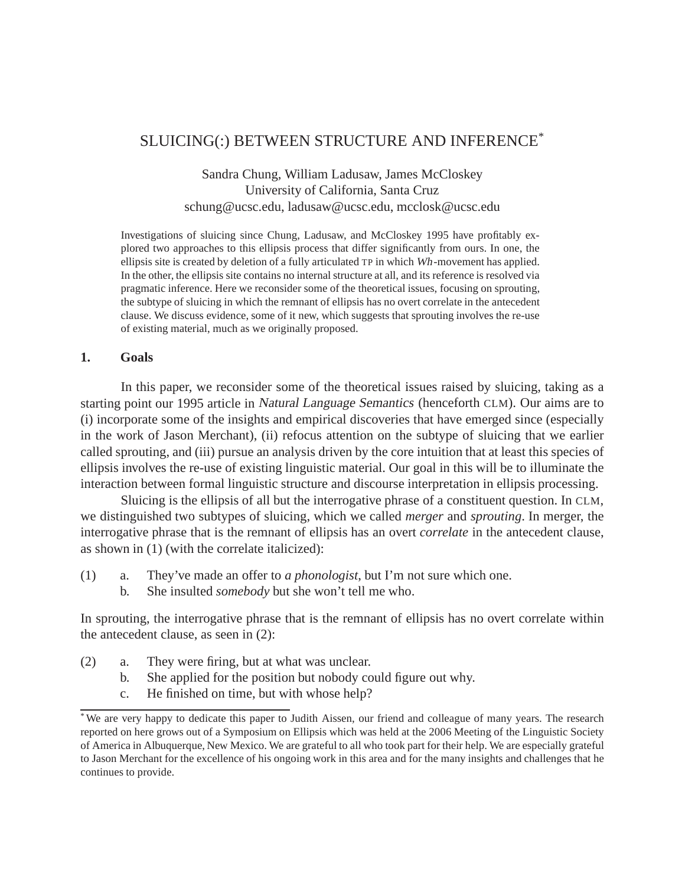# SLUICING(:) BETWEEN STRUCTURE AND INFERENCE\*

Sandra Chung, William Ladusaw, James McCloskey University of California, Santa Cruz schung@ucsc.edu, ladusaw@ucsc.edu, mcclosk@ucsc.edu

Investigations of sluicing since Chung, Ladusaw, and McCloskey 1995 have profitably explored two approaches to this ellipsis process that differ significantly from ours. In one, the ellipsis site is created by deletion of a fully articulated TP in which Wh-movement has applied. In the other, the ellipsis site contains no internal structure at all, and its reference is resolved via pragmatic inference. Here we reconsider some of the theoretical issues, focusing on sprouting, the subtype of sluicing in which the remnant of ellipsis has no overt correlate in the antecedent clause. We discuss evidence, some of it new, which suggests that sprouting involves the re-use of existing material, much as we originally proposed.

#### **1. Goals**

In this paper, we reconsider some of the theoretical issues raised by sluicing, taking as a starting point our 1995 article in Natural Language Semantics (henceforth CLM). Our aims are to (i) incorporate some of the insights and empirical discoveries that have emerged since (especially in the work of Jason Merchant), (ii) refocus attention on the subtype of sluicing that we earlier called sprouting, and (iii) pursue an analysis driven by the core intuition that at least this species of ellipsis involves the re-use of existing linguistic material. Our goal in this will be to illuminate the interaction between formal linguistic structure and discourse interpretation in ellipsis processing.

Sluicing is the ellipsis of all but the interrogative phrase of a constituent question. In CLM, we distinguished two subtypes of sluicing, which we called *merger* and *sprouting*. In merger, the interrogative phrase that is the remnant of ellipsis has an overt *correlate* in the antecedent clause, as shown in (1) (with the correlate italicized):

- (1) a. They've made an offer to *a phonologist*, but I'm not sure which one.
	- b. She insulted *somebody* but she won't tell me who.

In sprouting, the interrogative phrase that is the remnant of ellipsis has no overt correlate within the antecedent clause, as seen in (2):

- (2) a. They were firing, but at what was unclear.
	- b. She applied for the position but nobody could figure out why.
	- c. He finished on time, but with whose help?

<sup>\*</sup>We are very happy to dedicate this paper to Judith Aissen, our friend and colleague of many years. The research reported on here grows out of a Symposium on Ellipsis which was held at the 2006 Meeting of the Linguistic Society of America in Albuquerque, New Mexico. We are grateful to all who took part for their help. We are especially grateful to Jason Merchant for the excellence of his ongoing work in this area and for the many insights and challenges that he continues to provide.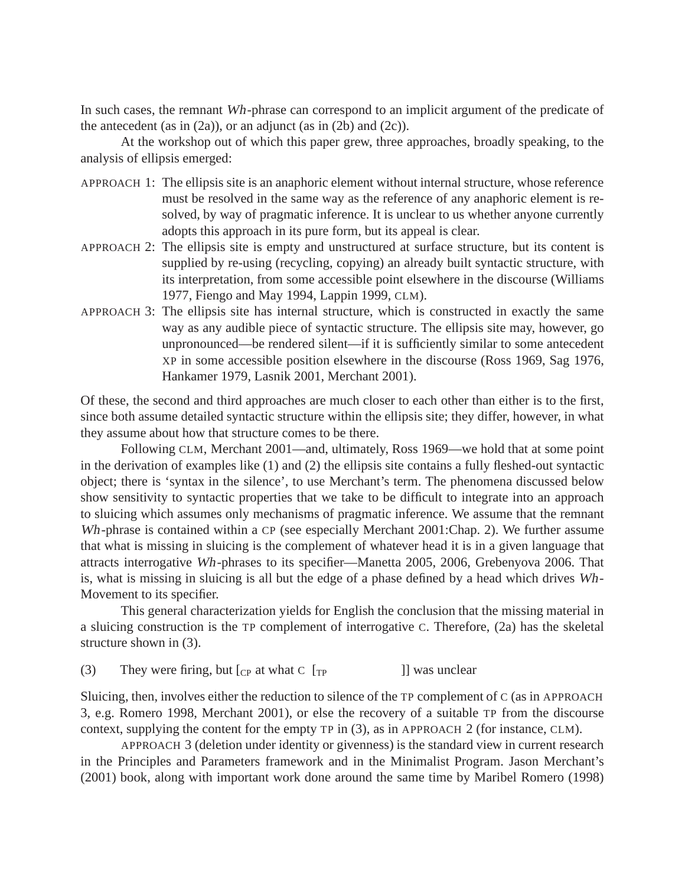In such cases, the remnant Wh-phrase can correspond to an implicit argument of the predicate of the antecedent (as in  $(2a)$ ), or an adjunct (as in  $(2b)$  and  $(2c)$ ).

At the workshop out of which this paper grew, three approaches, broadly speaking, to the analysis of ellipsis emerged:

- APPROACH 1: The ellipsis site is an anaphoric element without internal structure, whose reference must be resolved in the same way as the reference of any anaphoric element is resolved, by way of pragmatic inference. It is unclear to us whether anyone currently adopts this approach in its pure form, but its appeal is clear.
- APPROACH 2: The ellipsis site is empty and unstructured at surface structure, but its content is supplied by re-using (recycling, copying) an already built syntactic structure, with its interpretation, from some accessible point elsewhere in the discourse (Williams 1977, Fiengo and May 1994, Lappin 1999, CLM).
- APPROACH 3: The ellipsis site has internal structure, which is constructed in exactly the same way as any audible piece of syntactic structure. The ellipsis site may, however, go unpronounced—be rendered silent—if it is sufficiently similar to some antecedent XP in some accessible position elsewhere in the discourse (Ross 1969, Sag 1976, Hankamer 1979, Lasnik 2001, Merchant 2001).

Of these, the second and third approaches are much closer to each other than either is to the first, since both assume detailed syntactic structure within the ellipsis site; they differ, however, in what they assume about how that structure comes to be there.

Following CLM, Merchant 2001—and, ultimately, Ross 1969—we hold that at some point in the derivation of examples like (1) and (2) the ellipsis site contains a fully fleshed-out syntactic object; there is 'syntax in the silence', to use Merchant's term. The phenomena discussed below show sensitivity to syntactic properties that we take to be difficult to integrate into an approach to sluicing which assumes only mechanisms of pragmatic inference. We assume that the remnant Wh-phrase is contained within a CP (see especially Merchant 2001:Chap. 2). We further assume that what is missing in sluicing is the complement of whatever head it is in a given language that attracts interrogative Wh-phrases to its specifier—Manetta 2005, 2006, Grebenyova 2006. That is, what is missing in sluicing is all but the edge of a phase defined by a head which drives Wh-Movement to its specifier.

This general characterization yields for English the conclusion that the missing material in a sluicing construction is the TP complement of interrogative C. Therefore, (2a) has the skeletal structure shown in (3).

(3) They were firing, but  $\begin{bmatrix} C_P \end{bmatrix}$  at what  $C \begin{bmatrix} T_P \end{bmatrix}$  was unclear

Sluicing, then, involves either the reduction to silence of the TP complement of C (as in APPROACH 3, e.g. Romero 1998, Merchant 2001), or else the recovery of a suitable TP from the discourse context, supplying the content for the empty TP in (3), as in APPROACH 2 (for instance, CLM).

APPROACH 3 (deletion under identity or givenness) is the standard view in current research in the Principles and Parameters framework and in the Minimalist Program. Jason Merchant's (2001) book, along with important work done around the same time by Maribel Romero (1998)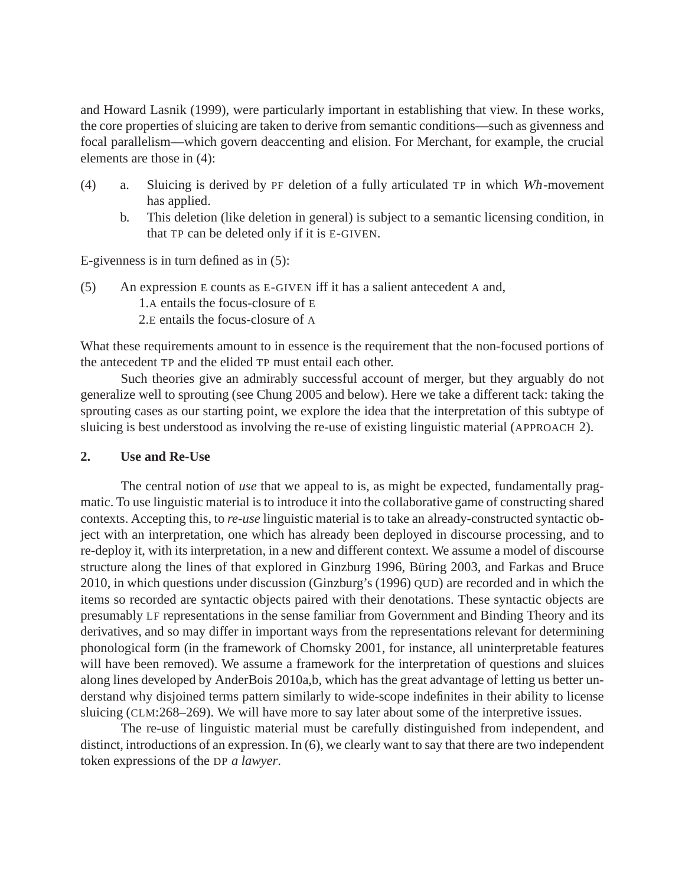and Howard Lasnik (1999), were particularly important in establishing that view. In these works, the core properties of sluicing are taken to derive from semantic conditions—such as givenness and focal parallelism—which govern deaccenting and elision. For Merchant, for example, the crucial elements are those in (4):

- (4) a. Sluicing is derived by PF deletion of a fully articulated TP in which Wh-movement has applied.
	- b. This deletion (like deletion in general) is subject to a semantic licensing condition, in that TP can be deleted only if it is E-GIVEN.

E-givenness is in turn defined as in (5):

(5) An expression E counts as E-GIVEN iff it has a salient antecedent A and, 1.A entails the focus-closure of E 2.E entails the focus-closure of A

What these requirements amount to in essence is the requirement that the non-focused portions of the antecedent TP and the elided TP must entail each other.

Such theories give an admirably successful account of merger, but they arguably do not generalize well to sprouting (see Chung 2005 and below). Here we take a different tack: taking the sprouting cases as our starting point, we explore the idea that the interpretation of this subtype of sluicing is best understood as involving the re-use of existing linguistic material (APPROACH 2).

### **2. Use and Re-Use**

The central notion of *use* that we appeal to is, as might be expected, fundamentally pragmatic. To use linguistic material is to introduce it into the collaborative game of constructing shared contexts. Accepting this, to *re-use* linguistic material is to take an already-constructed syntactic object with an interpretation, one which has already been deployed in discourse processing, and to re-deploy it, with its interpretation, in a new and different context. We assume a model of discourse structure along the lines of that explored in Ginzburg 1996, Büring 2003, and Farkas and Bruce 2010, in which questions under discussion (Ginzburg's (1996) QUD) are recorded and in which the items so recorded are syntactic objects paired with their denotations. These syntactic objects are presumably LF representations in the sense familiar from Government and Binding Theory and its derivatives, and so may differ in important ways from the representations relevant for determining phonological form (in the framework of Chomsky 2001, for instance, all uninterpretable features will have been removed). We assume a framework for the interpretation of questions and sluices along lines developed by AnderBois 2010a,b, which has the great advantage of letting us better understand why disjoined terms pattern similarly to wide-scope indefinites in their ability to license sluicing (CLM:268–269). We will have more to say later about some of the interpretive issues.

The re-use of linguistic material must be carefully distinguished from independent, and distinct, introductions of an expression. In (6), we clearly want to say that there are two independent token expressions of the DP *a lawyer*.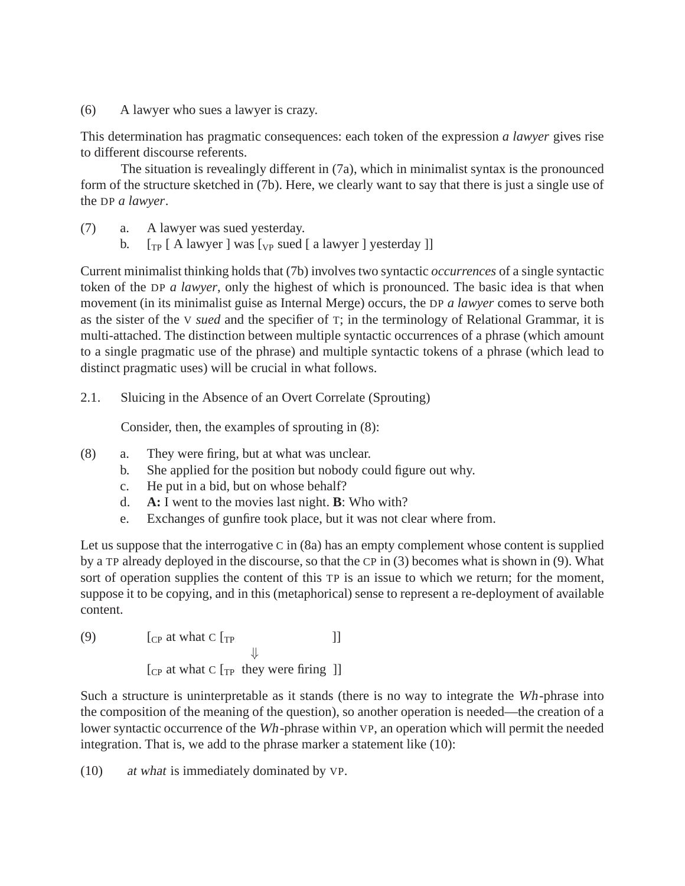(6) A lawyer who sues a lawyer is crazy.

This determination has pragmatic consequences: each token of the expression *a lawyer* gives rise to different discourse referents.

The situation is revealingly different in (7a), which in minimalist syntax is the pronounced form of the structure sketched in (7b). Here, we clearly want to say that there is just a single use of the DP *a lawyer*.

- (7) a. A lawyer was sued yesterday.
	- b.  $\lceil \frac{1}{T} \rceil$  [ A lawyer ] was  $\lceil \frac{1}{T} \rceil$  was  $\lceil \frac{1}{T} \rceil$  a lawyer ] yesterday ]]

Current minimalist thinking holds that (7b) involves two syntactic *occurrences* of a single syntactic token of the DP *a lawyer*, only the highest of which is pronounced. The basic idea is that when movement (in its minimalist guise as Internal Merge) occurs, the DP *a lawyer* comes to serve both as the sister of the V *sued* and the specifier of T; in the terminology of Relational Grammar, it is multi-attached. The distinction between multiple syntactic occurrences of a phrase (which amount to a single pragmatic use of the phrase) and multiple syntactic tokens of a phrase (which lead to distinct pragmatic uses) will be crucial in what follows.

2.1. Sluicing in the Absence of an Overt Correlate (Sprouting)

Consider, then, the examples of sprouting in (8):

- (8) a. They were firing, but at what was unclear.
	- b. She applied for the position but nobody could figure out why.
	- c. He put in a bid, but on whose behalf?
	- d. **A:** I went to the movies last night. **B**: Who with?
	- e. Exchanges of gunfire took place, but it was not clear where from.

Let us suppose that the interrogative  $C$  in  $(8a)$  has an empty complement whose content is supplied by a TP already deployed in the discourse, so that the CP in (3) becomes what is shown in (9). What sort of operation supplies the content of this TP is an issue to which we return; for the moment, suppose it to be copying, and in this (metaphorical) sense to represent a re-deployment of available content.

(9) 
$$
\begin{array}{c}\n[\text{CP at what C } \text{[TP} \quad \qquad ]]\n\end{array}
$$
\n
$$
\begin{array}{c}\n[\text{CP at what C } \text{[TP } \text{they were firing } ]]\n\end{array}
$$

Such a structure is uninterpretable as it stands (there is no way to integrate the Wh-phrase into the composition of the meaning of the question), so another operation is needed—the creation of a lower syntactic occurrence of the Wh-phrase within VP, an operation which will permit the needed integration. That is, we add to the phrase marker a statement like (10):

(10) at what is immediately dominated by VP.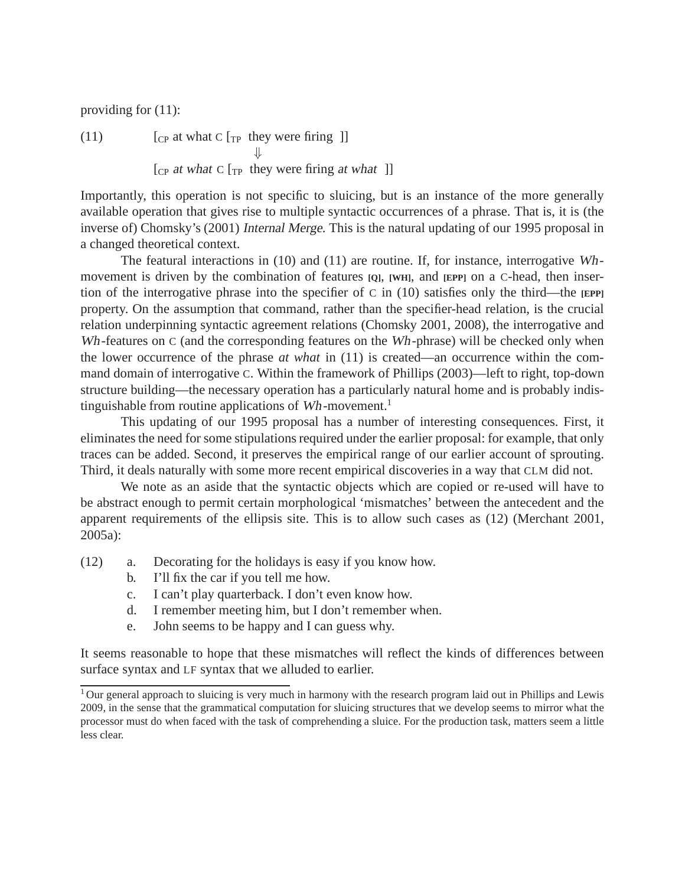providing for (11):

(11)  $[CP at what C [TP they were firing ]]$ ⇓  $[CP]$  at what C  $[TP]$  they were firing at what  $[]$ 

Importantly, this operation is not specific to sluicing, but is an instance of the more generally available operation that gives rise to multiple syntactic occurrences of a phrase. That is, it is (the inverse of) Chomsky's (2001) Internal Merge. This is the natural updating of our 1995 proposal in a changed theoretical context.

The featural interactions in (10) and (11) are routine. If, for instance, interrogative Whmovement is driven by the combination of features **[Q]**, **[WH]**, and **[EPP]** on a C-head, then insertion of the interrogative phrase into the specifier of C in (10) satisfies only the third—the **[EPP]** property. On the assumption that command, rather than the specifier-head relation, is the crucial relation underpinning syntactic agreement relations (Chomsky 2001, 2008), the interrogative and Wh-features on C (and the corresponding features on the Wh-phrase) will be checked only when the lower occurrence of the phrase *at what* in (11) is created—an occurrence within the command domain of interrogative C. Within the framework of Phillips (2003)—left to right, top-down structure building—the necessary operation has a particularly natural home and is probably indistinguishable from routine applications of  $Wh$ -movement.<sup>1</sup>

This updating of our 1995 proposal has a number of interesting consequences. First, it eliminates the need for some stipulations required under the earlier proposal: for example, that only traces can be added. Second, it preserves the empirical range of our earlier account of sprouting. Third, it deals naturally with some more recent empirical discoveries in a way that CLM did not.

We note as an aside that the syntactic objects which are copied or re-used will have to be abstract enough to permit certain morphological 'mismatches' between the antecedent and the apparent requirements of the ellipsis site. This is to allow such cases as (12) (Merchant 2001, 2005a):

- (12) a. Decorating for the holidays is easy if you know how.
	- b. I'll fix the car if you tell me how.
	- c. I can't play quarterback. I don't even know how.
	- d. I remember meeting him, but I don't remember when.
	- e. John seems to be happy and I can guess why.

It seems reasonable to hope that these mismatches will reflect the kinds of differences between surface syntax and LF syntax that we alluded to earlier.

<sup>&</sup>lt;sup>1</sup> Our general approach to sluicing is very much in harmony with the research program laid out in Phillips and Lewis 2009, in the sense that the grammatical computation for sluicing structures that we develop seems to mirror what the processor must do when faced with the task of comprehending a sluice. For the production task, matters seem a little less clear.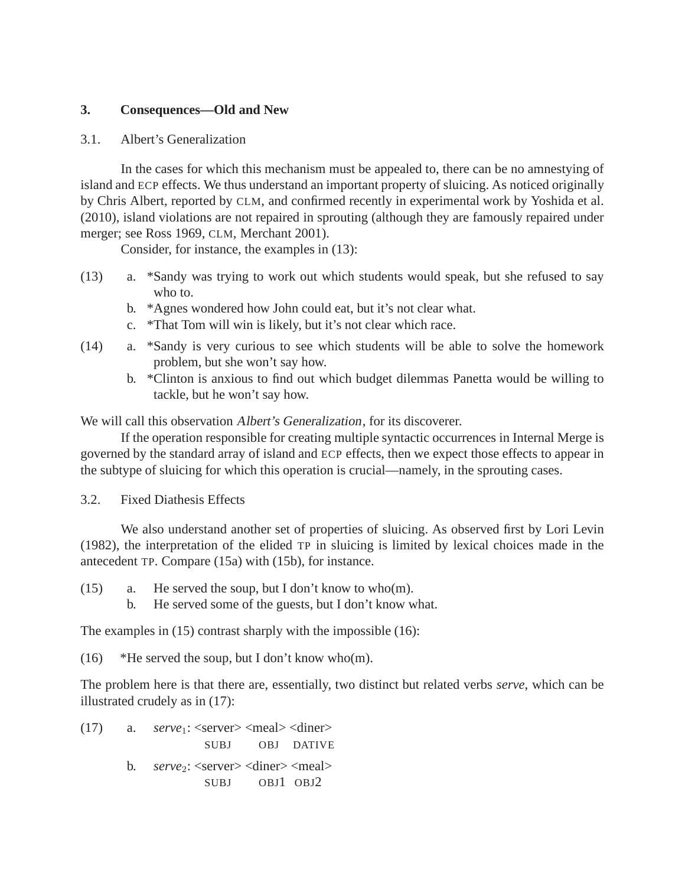### **3. Consequences—Old and New**

### 3.1. Albert's Generalization

In the cases for which this mechanism must be appealed to, there can be no amnestying of island and ECP effects. We thus understand an important property of sluicing. As noticed originally by Chris Albert, reported by CLM, and confirmed recently in experimental work by Yoshida et al. (2010), island violations are not repaired in sprouting (although they are famously repaired under merger; see Ross 1969, CLM, Merchant 2001).

Consider, for instance, the examples in (13):

- (13) a. \*Sandy was trying to work out which students would speak, but she refused to say who to.
	- b. \*Agnes wondered how John could eat, but it's not clear what.
	- c. \*That Tom will win is likely, but it's not clear which race.
- (14) a. \*Sandy is very curious to see which students will be able to solve the homework problem, but she won't say how.
	- b. \*Clinton is anxious to find out which budget dilemmas Panetta would be willing to tackle, but he won't say how.

We will call this observation *Albert's Generalization*, for its discoverer.

If the operation responsible for creating multiple syntactic occurrences in Internal Merge is governed by the standard array of island and ECP effects, then we expect those effects to appear in the subtype of sluicing for which this operation is crucial—namely, in the sprouting cases.

3.2. Fixed Diathesis Effects

We also understand another set of properties of sluicing. As observed first by Lori Levin (1982), the interpretation of the elided TP in sluicing is limited by lexical choices made in the antecedent TP. Compare (15a) with (15b), for instance.

- (15) a. He served the soup, but I don't know to who(m).
	- b. He served some of the guests, but I don't know what.

The examples in (15) contrast sharply with the impossible (16):

(16) \*He served the soup, but I don't know who(m).

The problem here is that there are, essentially, two distinct but related verbs *serve*, which can be illustrated crudely as in (17):

 $(17)$  a. *serve*<sub>1</sub>: <server> <meal> <diner> SUBJ OBJ DATIVE b. *serve*<sub>2</sub>: <server> <diner> <meal> SUBJ OBJ1 OBJ2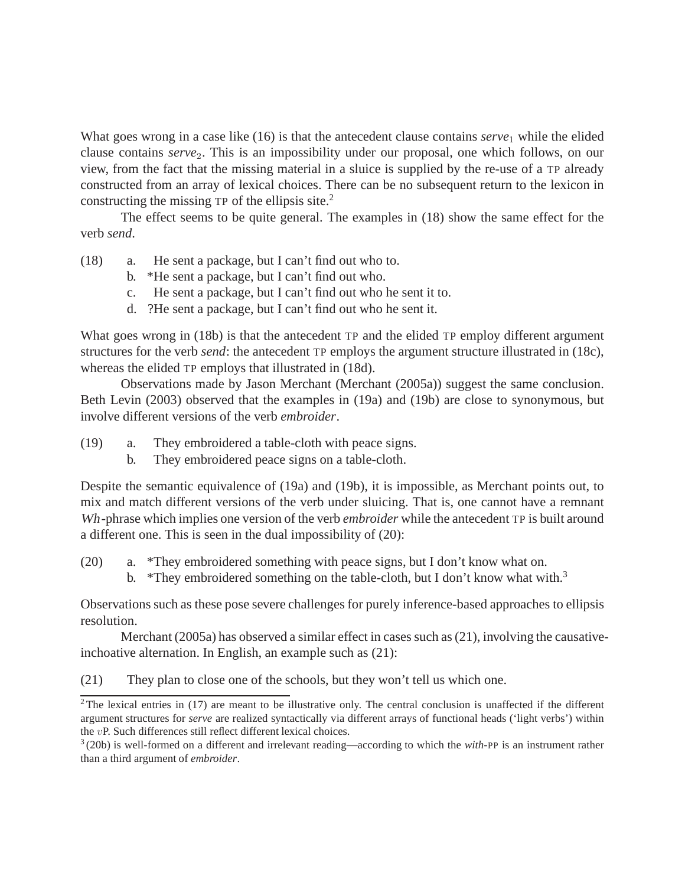What goes wrong in a case like (16) is that the antecedent clause contains *serve*<sub>1</sub> while the elided clause contains *serve*<sub>2</sub>. This is an impossibility under our proposal, one which follows, on our view, from the fact that the missing material in a sluice is supplied by the re-use of a TP already constructed from an array of lexical choices. There can be no subsequent return to the lexicon in constructing the missing  $TP$  of the ellipsis site.<sup>2</sup>

The effect seems to be quite general. The examples in (18) show the same effect for the verb *send*.

- (18) a. He sent a package, but I can't find out who to.
	- b. \*He sent a package, but I can't find out who.
	- c. He sent a package, but I can't find out who he sent it to.
	- d. ?He sent a package, but I can't find out who he sent it.

What goes wrong in (18b) is that the antecedent TP and the elided TP employ different argument structures for the verb *send*: the antecedent TP employs the argument structure illustrated in (18c), whereas the elided TP employs that illustrated in (18d).

Observations made by Jason Merchant (Merchant (2005a)) suggest the same conclusion. Beth Levin (2003) observed that the examples in (19a) and (19b) are close to synonymous, but involve different versions of the verb *embroider*.

- (19) a. They embroidered a table-cloth with peace signs.
	- b. They embroidered peace signs on a table-cloth.

Despite the semantic equivalence of (19a) and (19b), it is impossible, as Merchant points out, to mix and match different versions of the verb under sluicing. That is, one cannot have a remnant Wh-phrase which implies one version of the verb *embroider* while the antecedent TP is built around a different one. This is seen in the dual impossibility of (20):

- (20) a. \*They embroidered something with peace signs, but I don't know what on.
	- b. \*They embroidered something on the table-cloth, but I don't know what with.<sup>3</sup>

Observations such as these pose severe challenges for purely inference-based approaches to ellipsis resolution.

Merchant (2005a) has observed a similar effect in cases such as (21), involving the causativeinchoative alternation. In English, an example such as (21):

(21) They plan to close one of the schools, but they won't tell us which one.

 $2$ The lexical entries in (17) are meant to be illustrative only. The central conclusion is unaffected if the different argument structures for *serve* are realized syntactically via different arrays of functional heads ('light verbs') within the vP. Such differences still reflect different lexical choices.

<sup>3</sup> (20b) is well-formed on a different and irrelevant reading—according to which the *with*-PP is an instrument rather than a third argument of *embroider*.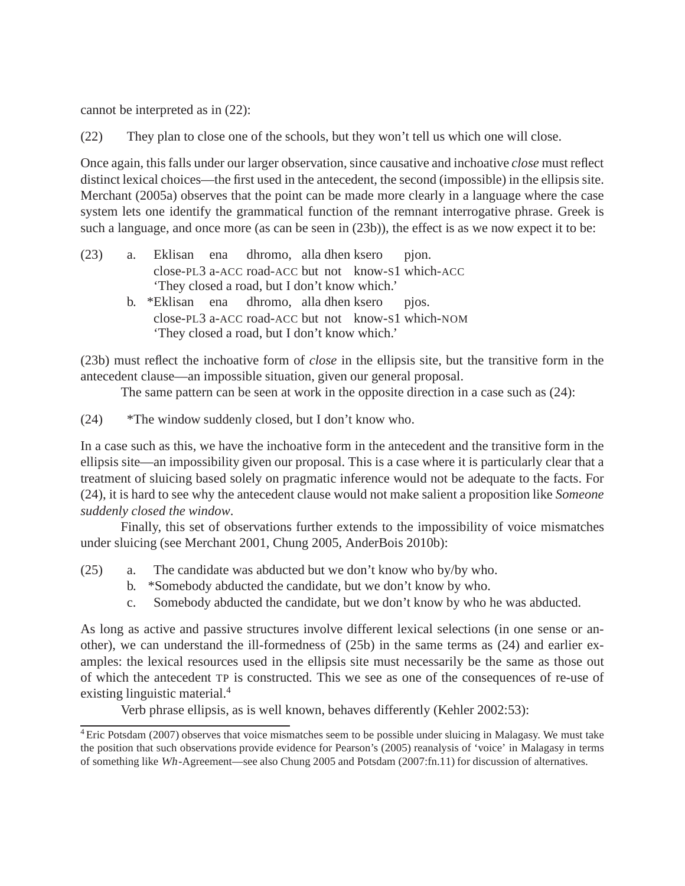cannot be interpreted as in (22):

(22) They plan to close one of the schools, but they won't tell us which one will close.

Once again, this falls under our larger observation, since causative and inchoative *close* must reflect distinct lexical choices—the first used in the antecedent, the second (impossible) in the ellipsis site. Merchant (2005a) observes that the point can be made more clearly in a language where the case system lets one identify the grammatical function of the remnant interrogative phrase. Greek is such a language, and once more (as can be seen in  $(23b)$ ), the effect is as we now expect it to be:

- (23) a. Eklisan ena close-PL3 a-ACC road-ACC but not know-S1 which-ACC dhromo, alla dhen ksero pjon. 'They closed a road, but I don't know which.'
	- b. \*Eklisan ena close-PL3 a-ACC road-ACC but not know-S1 which-NOM dhromo, alla dhen ksero pjos. 'They closed a road, but I don't know which.'

(23b) must reflect the inchoative form of *close* in the ellipsis site, but the transitive form in the antecedent clause—an impossible situation, given our general proposal.

The same pattern can be seen at work in the opposite direction in a case such as (24):

(24) \*The window suddenly closed, but I don't know who.

In a case such as this, we have the inchoative form in the antecedent and the transitive form in the ellipsis site—an impossibility given our proposal. This is a case where it is particularly clear that a treatment of sluicing based solely on pragmatic inference would not be adequate to the facts. For (24), it is hard to see why the antecedent clause would not make salient a proposition like *Someone suddenly closed the window*.

Finally, this set of observations further extends to the impossibility of voice mismatches under sluicing (see Merchant 2001, Chung 2005, AnderBois 2010b):

- (25) a. The candidate was abducted but we don't know who by/by who.
	- b. \*Somebody abducted the candidate, but we don't know by who.
	- c. Somebody abducted the candidate, but we don't know by who he was abducted.

As long as active and passive structures involve different lexical selections (in one sense or another), we can understand the ill-formedness of (25b) in the same terms as (24) and earlier examples: the lexical resources used in the ellipsis site must necessarily be the same as those out of which the antecedent TP is constructed. This we see as one of the consequences of re-use of existing linguistic material.<sup>4</sup>

Verb phrase ellipsis, as is well known, behaves differently (Kehler 2002:53):

<sup>4</sup> Eric Potsdam (2007) observes that voice mismatches seem to be possible under sluicing in Malagasy. We must take the position that such observations provide evidence for Pearson's (2005) reanalysis of 'voice' in Malagasy in terms of something like Wh-Agreement—see also Chung 2005 and Potsdam (2007:fn.11) for discussion of alternatives.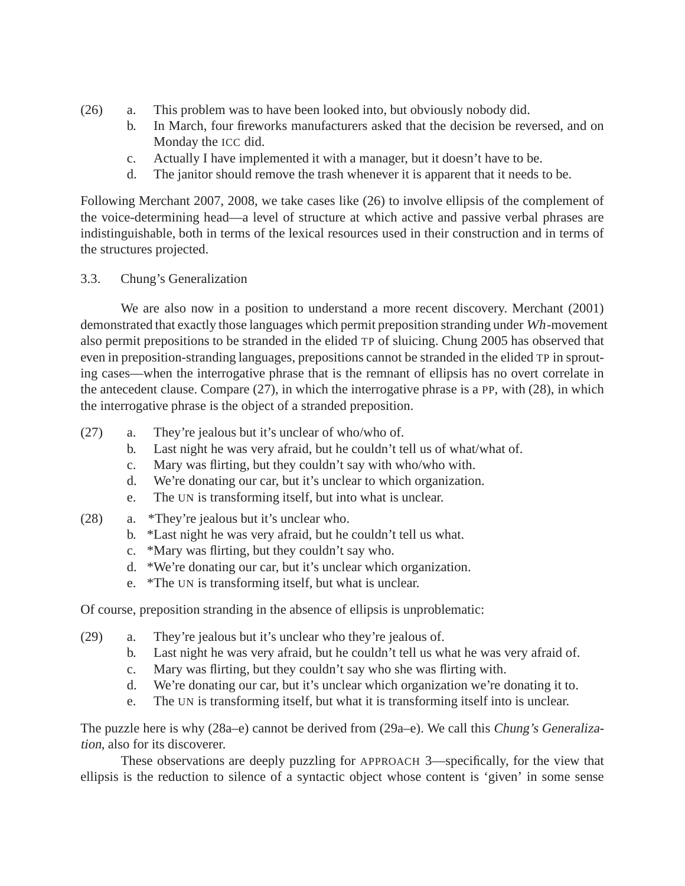- (26) a. This problem was to have been looked into, but obviously nobody did.
	- b. In March, four fireworks manufacturers asked that the decision be reversed, and on Monday the ICC did.
	- c. Actually I have implemented it with a manager, but it doesn't have to be.
	- d. The janitor should remove the trash whenever it is apparent that it needs to be.

Following Merchant 2007, 2008, we take cases like (26) to involve ellipsis of the complement of the voice-determining head—a level of structure at which active and passive verbal phrases are indistinguishable, both in terms of the lexical resources used in their construction and in terms of the structures projected.

## 3.3. Chung's Generalization

We are also now in a position to understand a more recent discovery. Merchant (2001) demonstrated that exactly those languages which permit preposition stranding under Wh-movement also permit prepositions to be stranded in the elided TP of sluicing. Chung 2005 has observed that even in preposition-stranding languages, prepositions cannot be stranded in the elided TP in sprouting cases—when the interrogative phrase that is the remnant of ellipsis has no overt correlate in the antecedent clause. Compare (27), in which the interrogative phrase is a PP, with (28), in which the interrogative phrase is the object of a stranded preposition.

- (27) a. They're jealous but it's unclear of who/who of.
	- b. Last night he was very afraid, but he couldn't tell us of what/what of.
	- c. Mary was flirting, but they couldn't say with who/who with.
	- d. We're donating our car, but it's unclear to which organization.
	- e. The UN is transforming itself, but into what is unclear.
- (28) a. \*They're jealous but it's unclear who.
	- b. \*Last night he was very afraid, but he couldn't tell us what.
	- c. \*Mary was flirting, but they couldn't say who.
	- d. \*We're donating our car, but it's unclear which organization.
	- e. \*The UN is transforming itself, but what is unclear.

Of course, preposition stranding in the absence of ellipsis is unproblematic:

- (29) a. They're jealous but it's unclear who they're jealous of.
	- b. Last night he was very afraid, but he couldn't tell us what he was very afraid of.
	- c. Mary was flirting, but they couldn't say who she was flirting with.
	- d. We're donating our car, but it's unclear which organization we're donating it to.
	- e. The UN is transforming itself, but what it is transforming itself into is unclear.

The puzzle here is why (28a–e) cannot be derived from (29a–e). We call this Chung's Generalization, also for its discoverer.

These observations are deeply puzzling for APPROACH 3—specifically, for the view that ellipsis is the reduction to silence of a syntactic object whose content is 'given' in some sense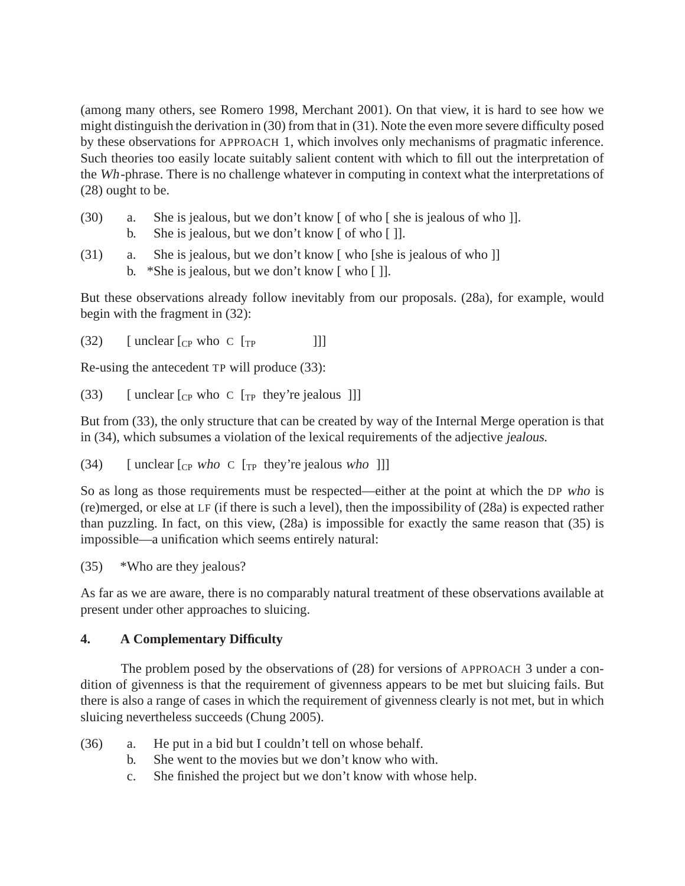(among many others, see Romero 1998, Merchant 2001). On that view, it is hard to see how we might distinguish the derivation in (30) from that in (31). Note the even more severe difficulty posed by these observations for APPROACH 1, which involves only mechanisms of pragmatic inference. Such theories too easily locate suitably salient content with which to fill out the interpretation of the Wh-phrase. There is no challenge whatever in computing in context what the interpretations of (28) ought to be.

- (30) a. She is jealous, but we don't know [ of who [ she is jealous of who ]]. b. She is jealous, but we don't know [ of who [ ].
- (31) a. She is jealous, but we don't know [ who [she is jealous of who ]] b. \*She is jealous, but we don't know [ who [ ]].

But these observations already follow inevitably from our proposals. (28a), for example, would begin with the fragment in (32):

(32)  $\left[$  unclear  $\left[$   $\right]$  c  $\left[$   $\right]$   $\left[$   $\right]$   $\left[$   $\right]$   $\left[$   $\left[$   $\right]$   $\left[$   $\right]$   $\left[$   $\left[$   $\right]$   $\left[$   $\right]$   $\left[$   $\right]$   $\left[$   $\left[$   $\right]$   $\left[$   $\left[$   $\right]$   $\left[$   $\right]$   $\left[$   $\left[$   $\right]$   $\left[$   $\left[$   $\$ 

Re-using the antecedent TP will produce (33):

(33) [ unclear  $\lceil$ <sub>CP</sub> who C  $\lceil$ <sub>TP</sub> they're jealous ]]]

But from (33), the only structure that can be created by way of the Internal Merge operation is that in (34), which subsumes a violation of the lexical requirements of the adjective jealous.

(34) [ unclear  $\begin{bmatrix} \text{Cp} & \text{who} & \text{C} & \text{Tr} \end{bmatrix}$  they're jealous who  $\begin{bmatrix} \text{m} \end{bmatrix}$ 

So as long as those requirements must be respected—either at the point at which the DP who is (re)merged, or else at LF (if there is such a level), then the impossibility of (28a) is expected rather than puzzling. In fact, on this view, (28a) is impossible for exactly the same reason that (35) is impossible—a unification which seems entirely natural:

(35) \*Who are they jealous?

As far as we are aware, there is no comparably natural treatment of these observations available at present under other approaches to sluicing.

# **4. A Complementary Difficulty**

The problem posed by the observations of (28) for versions of APPROACH 3 under a condition of givenness is that the requirement of givenness appears to be met but sluicing fails. But there is also a range of cases in which the requirement of givenness clearly is not met, but in which sluicing nevertheless succeeds (Chung 2005).

- (36) a. He put in a bid but I couldn't tell on whose behalf.
	- b. She went to the movies but we don't know who with.
	- c. She finished the project but we don't know with whose help.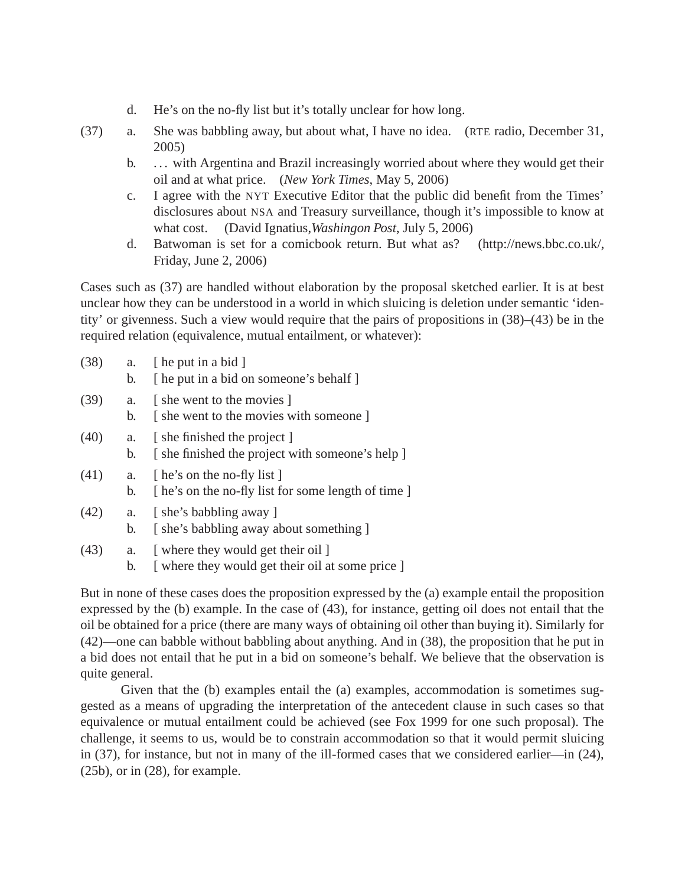- d. He's on the no-fly list but it's totally unclear for how long.
- (37) a. She was babbling away, but about what, I have no idea. (RTE radio, December 31, 2005)
	- b. . . . with Argentina and Brazil increasingly worried about where they would get their oil and at what price. (*New York Times*, May 5, 2006)
	- c. I agree with the NYT Executive Editor that the public did benefit from the Times' disclosures about NSA and Treasury surveillance, though it's impossible to know at what cost. (David Ignatius,*Washingon Post*, July 5, 2006)
	- d. Batwoman is set for a comicbook return. But what as? (http://news.bbc.co.uk/, Friday, June 2, 2006)

Cases such as (37) are handled without elaboration by the proposal sketched earlier. It is at best unclear how they can be understood in a world in which sluicing is deletion under semantic 'identity' or givenness. Such a view would require that the pairs of propositions in (38)–(43) be in the required relation (equivalence, mutual entailment, or whatever):

| (38) | a.<br>b. | [ he put in a bid ]<br>[ he put in a bid on someone's behalf ]                     |
|------|----------|------------------------------------------------------------------------------------|
| (39) | a.<br>b. | [she went to the movies]<br>[she went to the movies with someone]                  |
| (40) | a.<br>b. | [she finished the project]<br>[she finished the project with someone's help]       |
| (41) | a.<br>b. | [ he's on the no-fly list ]<br>[ he's on the no-fly list for some length of time ] |
| (42) | a.<br>b. | [she's babbling away]<br>[she's babbling away about something]                     |

- (43) a. [ where they would get their oil ]
	- b. [ where they would get their oil at some price ]

But in none of these cases does the proposition expressed by the (a) example entail the proposition expressed by the (b) example. In the case of (43), for instance, getting oil does not entail that the oil be obtained for a price (there are many ways of obtaining oil other than buying it). Similarly for (42)—one can babble without babbling about anything. And in (38), the proposition that he put in a bid does not entail that he put in a bid on someone's behalf. We believe that the observation is quite general.

Given that the (b) examples entail the (a) examples, accommodation is sometimes suggested as a means of upgrading the interpretation of the antecedent clause in such cases so that equivalence or mutual entailment could be achieved (see Fox 1999 for one such proposal). The challenge, it seems to us, would be to constrain accommodation so that it would permit sluicing in (37), for instance, but not in many of the ill-formed cases that we considered earlier—in (24), (25b), or in (28), for example.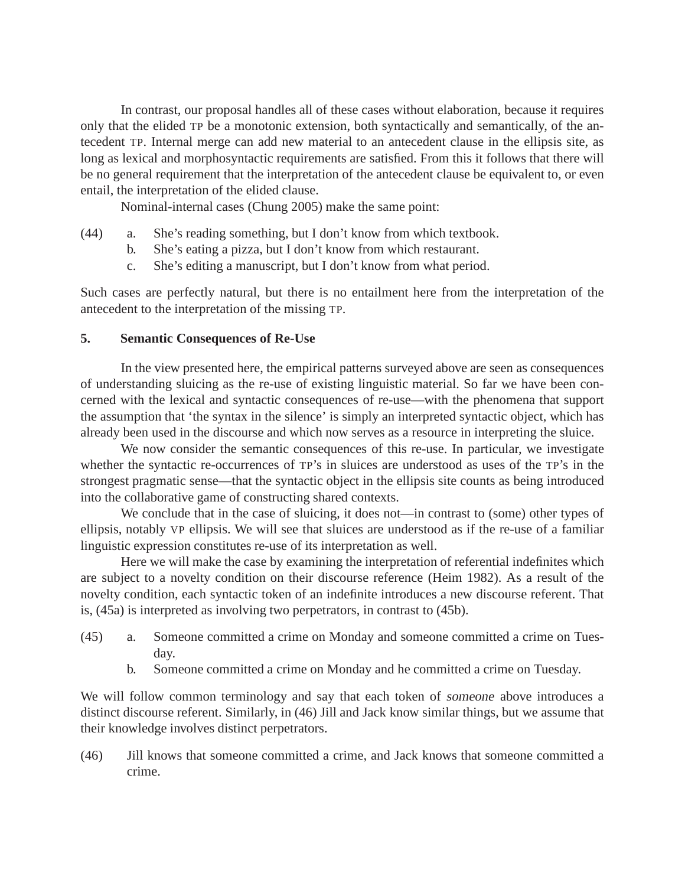In contrast, our proposal handles all of these cases without elaboration, because it requires only that the elided TP be a monotonic extension, both syntactically and semantically, of the antecedent TP. Internal merge can add new material to an antecedent clause in the ellipsis site, as long as lexical and morphosyntactic requirements are satisfied. From this it follows that there will be no general requirement that the interpretation of the antecedent clause be equivalent to, or even entail, the interpretation of the elided clause.

Nominal-internal cases (Chung 2005) make the same point:

- (44) a. She's reading something, but I don't know from which textbook.
	- b. She's eating a pizza, but I don't know from which restaurant.
	- c. She's editing a manuscript, but I don't know from what period.

Such cases are perfectly natural, but there is no entailment here from the interpretation of the antecedent to the interpretation of the missing TP.

### **5. Semantic Consequences of Re-Use**

In the view presented here, the empirical patterns surveyed above are seen as consequences of understanding sluicing as the re-use of existing linguistic material. So far we have been concerned with the lexical and syntactic consequences of re-use—with the phenomena that support the assumption that 'the syntax in the silence' is simply an interpreted syntactic object, which has already been used in the discourse and which now serves as a resource in interpreting the sluice.

We now consider the semantic consequences of this re-use. In particular, we investigate whether the syntactic re-occurrences of TP's in sluices are understood as uses of the TP's in the strongest pragmatic sense—that the syntactic object in the ellipsis site counts as being introduced into the collaborative game of constructing shared contexts.

We conclude that in the case of sluicing, it does not—in contrast to (some) other types of ellipsis, notably VP ellipsis. We will see that sluices are understood as if the re-use of a familiar linguistic expression constitutes re-use of its interpretation as well.

Here we will make the case by examining the interpretation of referential indefinites which are subject to a novelty condition on their discourse reference (Heim 1982). As a result of the novelty condition, each syntactic token of an indefinite introduces a new discourse referent. That is, (45a) is interpreted as involving two perpetrators, in contrast to (45b).

- (45) a. Someone committed a crime on Monday and someone committed a crime on Tuesday.
	- b. Someone committed a crime on Monday and he committed a crime on Tuesday.

We will follow common terminology and say that each token of someone above introduces a distinct discourse referent. Similarly, in (46) Jill and Jack know similar things, but we assume that their knowledge involves distinct perpetrators.

(46) Jill knows that someone committed a crime, and Jack knows that someone committed a crime.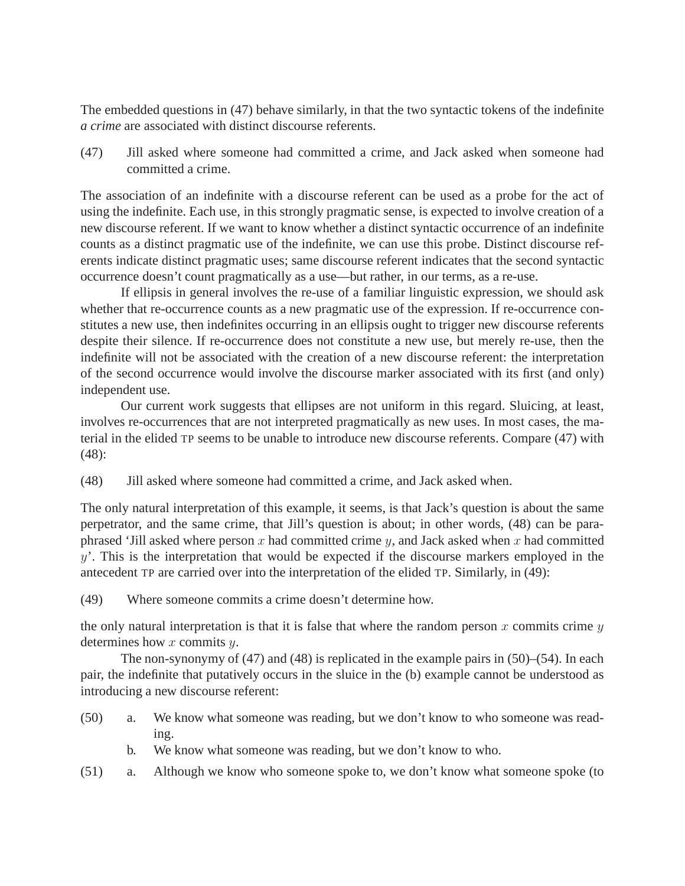The embedded questions in (47) behave similarly, in that the two syntactic tokens of the indefinite *a crime* are associated with distinct discourse referents.

(47) Jill asked where someone had committed a crime, and Jack asked when someone had committed a crime.

The association of an indefinite with a discourse referent can be used as a probe for the act of using the indefinite. Each use, in this strongly pragmatic sense, is expected to involve creation of a new discourse referent. If we want to know whether a distinct syntactic occurrence of an indefinite counts as a distinct pragmatic use of the indefinite, we can use this probe. Distinct discourse referents indicate distinct pragmatic uses; same discourse referent indicates that the second syntactic occurrence doesn't count pragmatically as a use—but rather, in our terms, as a re-use.

If ellipsis in general involves the re-use of a familiar linguistic expression, we should ask whether that re-occurrence counts as a new pragmatic use of the expression. If re-occurrence constitutes a new use, then indefinites occurring in an ellipsis ought to trigger new discourse referents despite their silence. If re-occurrence does not constitute a new use, but merely re-use, then the indefinite will not be associated with the creation of a new discourse referent: the interpretation of the second occurrence would involve the discourse marker associated with its first (and only) independent use.

Our current work suggests that ellipses are not uniform in this regard. Sluicing, at least, involves re-occurrences that are not interpreted pragmatically as new uses. In most cases, the material in the elided TP seems to be unable to introduce new discourse referents. Compare (47) with (48):

(48) Jill asked where someone had committed a crime, and Jack asked when.

The only natural interpretation of this example, it seems, is that Jack's question is about the same perpetrator, and the same crime, that Jill's question is about; in other words, (48) can be paraphrased 'Jill asked where person  $x$  had committed crime  $y$ , and Jack asked when  $x$  had committed  $y'$ . This is the interpretation that would be expected if the discourse markers employed in the antecedent TP are carried over into the interpretation of the elided TP. Similarly, in (49):

(49) Where someone commits a crime doesn't determine how.

the only natural interpretation is that it is false that where the random person  $x$  commits crime  $y$ determines how  $x$  commits  $y$ .

The non-synonymy of (47) and (48) is replicated in the example pairs in (50)–(54). In each pair, the indefinite that putatively occurs in the sluice in the (b) example cannot be understood as introducing a new discourse referent:

- (50) a. We know what someone was reading, but we don't know to who someone was reading.
	- b. We know what someone was reading, but we don't know to who.
- (51) a. Although we know who someone spoke to, we don't know what someone spoke (to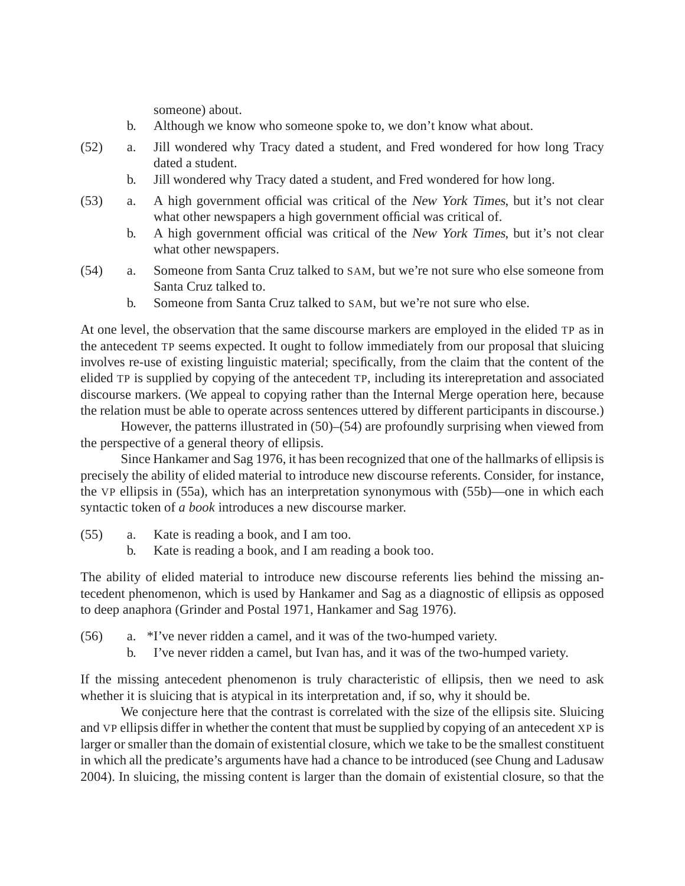someone) about.

- b. Although we know who someone spoke to, we don't know what about.
- (52) a. Jill wondered why Tracy dated a student, and Fred wondered for how long Tracy dated a student.
	- b. Jill wondered why Tracy dated a student, and Fred wondered for how long.
- (53) a. A high government official was critical of the New York Times, but it's not clear what other newspapers a high government official was critical of.
	- b. A high government official was critical of the New York Times, but it's not clear what other newspapers.
- (54) a. Someone from Santa Cruz talked to SAM, but we're not sure who else someone from Santa Cruz talked to.
	- b. Someone from Santa Cruz talked to SAM, but we're not sure who else.

At one level, the observation that the same discourse markers are employed in the elided TP as in the antecedent TP seems expected. It ought to follow immediately from our proposal that sluicing involves re-use of existing linguistic material; specifically, from the claim that the content of the elided TP is supplied by copying of the antecedent TP, including its interepretation and associated discourse markers. (We appeal to copying rather than the Internal Merge operation here, because the relation must be able to operate across sentences uttered by different participants in discourse.)

However, the patterns illustrated in (50)–(54) are profoundly surprising when viewed from the perspective of a general theory of ellipsis.

Since Hankamer and Sag 1976, it has been recognized that one of the hallmarks of ellipsis is precisely the ability of elided material to introduce new discourse referents. Consider, for instance, the VP ellipsis in (55a), which has an interpretation synonymous with (55b)—one in which each syntactic token of *a book* introduces a new discourse marker.

- (55) a. Kate is reading a book, and I am too.
	- b. Kate is reading a book, and I am reading a book too.

The ability of elided material to introduce new discourse referents lies behind the missing antecedent phenomenon, which is used by Hankamer and Sag as a diagnostic of ellipsis as opposed to deep anaphora (Grinder and Postal 1971, Hankamer and Sag 1976).

- (56) a. \*I've never ridden a camel, and it was of the two-humped variety.
	- b. I've never ridden a camel, but Ivan has, and it was of the two-humped variety.

If the missing antecedent phenomenon is truly characteristic of ellipsis, then we need to ask whether it is sluicing that is atypical in its interpretation and, if so, why it should be.

We conjecture here that the contrast is correlated with the size of the ellipsis site. Sluicing and VP ellipsis differ in whether the content that must be supplied by copying of an antecedent XP is larger or smaller than the domain of existential closure, which we take to be the smallest constituent in which all the predicate's arguments have had a chance to be introduced (see Chung and Ladusaw 2004). In sluicing, the missing content is larger than the domain of existential closure, so that the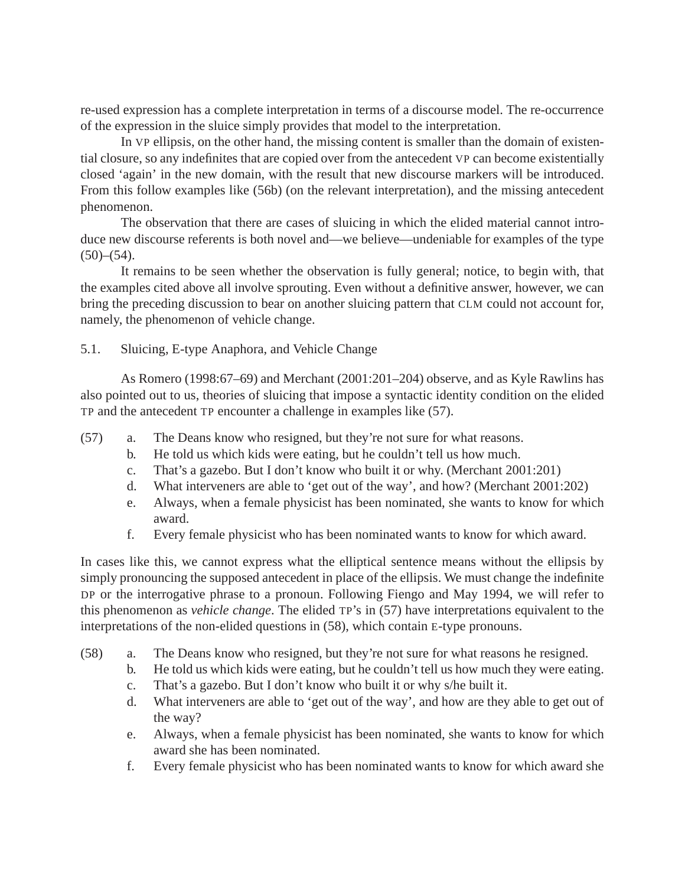re-used expression has a complete interpretation in terms of a discourse model. The re-occurrence of the expression in the sluice simply provides that model to the interpretation.

In VP ellipsis, on the other hand, the missing content is smaller than the domain of existential closure, so any indefinites that are copied over from the antecedent VP can become existentially closed 'again' in the new domain, with the result that new discourse markers will be introduced. From this follow examples like (56b) (on the relevant interpretation), and the missing antecedent phenomenon.

The observation that there are cases of sluicing in which the elided material cannot introduce new discourse referents is both novel and—we believe—undeniable for examples of the type  $(50)–(54)$ .

It remains to be seen whether the observation is fully general; notice, to begin with, that the examples cited above all involve sprouting. Even without a definitive answer, however, we can bring the preceding discussion to bear on another sluicing pattern that CLM could not account for, namely, the phenomenon of vehicle change.

### 5.1. Sluicing, E-type Anaphora, and Vehicle Change

As Romero (1998:67–69) and Merchant (2001:201–204) observe, and as Kyle Rawlins has also pointed out to us, theories of sluicing that impose a syntactic identity condition on the elided TP and the antecedent TP encounter a challenge in examples like (57).

- (57) a. The Deans know who resigned, but they're not sure for what reasons.
	- b. He told us which kids were eating, but he couldn't tell us how much.
	- c. That's a gazebo. But I don't know who built it or why. (Merchant 2001:201)
	- d. What interveners are able to 'get out of the way', and how? (Merchant 2001:202)
	- e. Always, when a female physicist has been nominated, she wants to know for which award.
	- f. Every female physicist who has been nominated wants to know for which award.

In cases like this, we cannot express what the elliptical sentence means without the ellipsis by simply pronouncing the supposed antecedent in place of the ellipsis. We must change the indefinite DP or the interrogative phrase to a pronoun. Following Fiengo and May 1994, we will refer to this phenomenon as *vehicle change*. The elided TP's in (57) have interpretations equivalent to the interpretations of the non-elided questions in (58), which contain E-type pronouns.

- (58) a. The Deans know who resigned, but they're not sure for what reasons he resigned.
	- b. He told us which kids were eating, but he couldn't tell us how much they were eating.
	- c. That's a gazebo. But I don't know who built it or why s/he built it.
	- d. What interveners are able to 'get out of the way', and how are they able to get out of the way?
	- e. Always, when a female physicist has been nominated, she wants to know for which award she has been nominated.
	- f. Every female physicist who has been nominated wants to know for which award she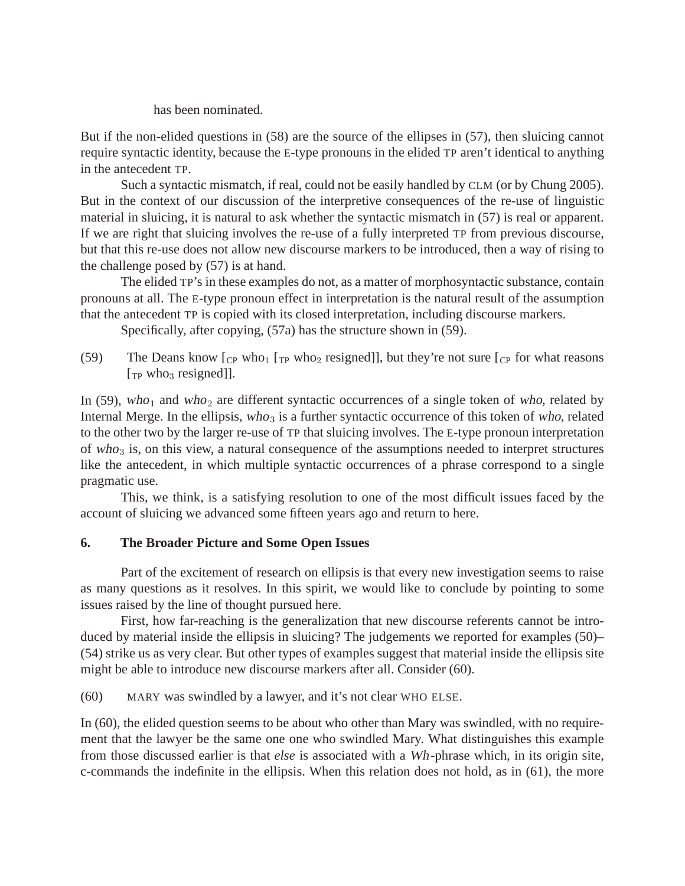has been nominated.

But if the non-elided questions in (58) are the source of the ellipses in (57), then sluicing cannot require syntactic identity, because the E-type pronouns in the elided TP aren't identical to anything in the antecedent TP.

Such a syntactic mismatch, if real, could not be easily handled by CLM (or by Chung 2005). But in the context of our discussion of the interpretive consequences of the re-use of linguistic material in sluicing, it is natural to ask whether the syntactic mismatch in (57) is real or apparent. If we are right that sluicing involves the re-use of a fully interpreted TP from previous discourse, but that this re-use does not allow new discourse markers to be introduced, then a way of rising to the challenge posed by (57) is at hand.

The elided TP's in these examples do not, as a matter of morphosyntactic substance, contain pronouns at all. The E-type pronoun effect in interpretation is the natural result of the assumption that the antecedent TP is copied with its closed interpretation, including discourse markers.

Specifically, after copying, (57a) has the structure shown in (59).

(59) The Deans know  $\lbrack \frac{\text{cp}}{\text{cp}}$  who<sub>1</sub>  $\lbrack \frac{\text{rp}}{\text{p}}$  who<sub>2</sub> resigned]], but they're not sure  $\lbrack \frac{\text{cp}}{\text{p}}$  for what reasons  $[\text{TP}$  who<sub>3</sub> resigned]].

In (59), who<sub>1</sub> and who<sub>2</sub> are different syntactic occurrences of a single token of who, related by Internal Merge. In the ellipsis, who<sub>3</sub> is a further syntactic occurrence of this token of who, related to the other two by the larger re-use of TP that sluicing involves. The E-type pronoun interpretation of who<sub>3</sub> is, on this view, a natural consequence of the assumptions needed to interpret structures like the antecedent, in which multiple syntactic occurrences of a phrase correspond to a single pragmatic use.

This, we think, is a satisfying resolution to one of the most difficult issues faced by the account of sluicing we advanced some fifteen years ago and return to here.

## **6. The Broader Picture and Some Open Issues**

Part of the excitement of research on ellipsis is that every new investigation seems to raise as many questions as it resolves. In this spirit, we would like to conclude by pointing to some issues raised by the line of thought pursued here.

First, how far-reaching is the generalization that new discourse referents cannot be introduced by material inside the ellipsis in sluicing? The judgements we reported for examples (50)– (54) strike us as very clear. But other types of examples suggest that material inside the ellipsis site might be able to introduce new discourse markers after all. Consider (60).

(60) MARY was swindled by a lawyer, and it's not clear WHO ELSE.

In (60), the elided question seems to be about who other than Mary was swindled, with no requirement that the lawyer be the same one one who swindled Mary. What distinguishes this example from those discussed earlier is that *else* is associated with a Wh-phrase which, in its origin site, c-commands the indefinite in the ellipsis. When this relation does not hold, as in (61), the more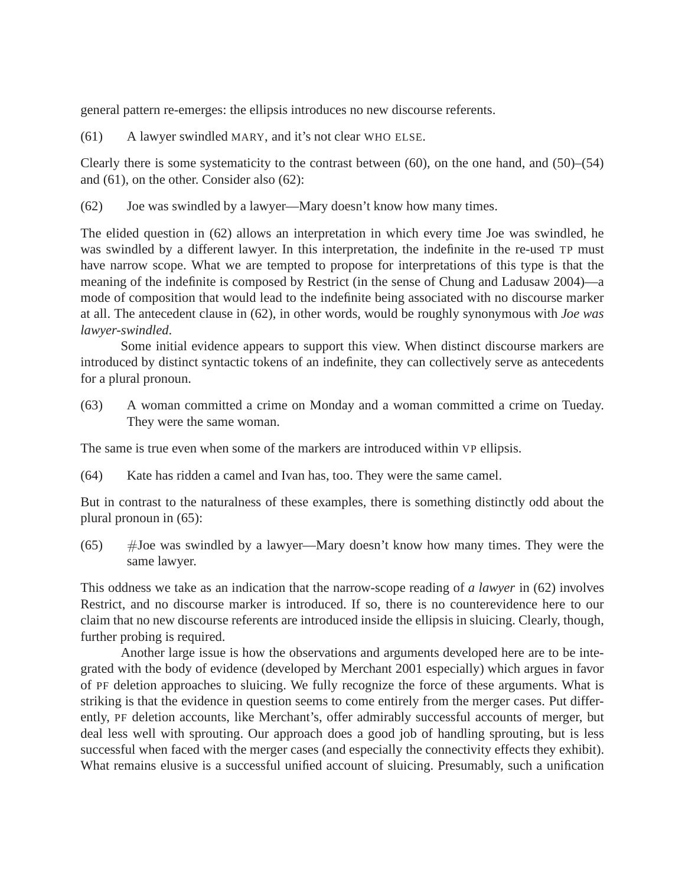general pattern re-emerges: the ellipsis introduces no new discourse referents.

(61) A lawyer swindled MARY, and it's not clear WHO ELSE.

Clearly there is some systematicity to the contrast between  $(60)$ , on the one hand, and  $(50)$ – $(54)$ and (61), on the other. Consider also (62):

(62) Joe was swindled by a lawyer—Mary doesn't know how many times.

The elided question in (62) allows an interpretation in which every time Joe was swindled, he was swindled by a different lawyer. In this interpretation, the indefinite in the re-used TP must have narrow scope. What we are tempted to propose for interpretations of this type is that the meaning of the indefinite is composed by Restrict (in the sense of Chung and Ladusaw 2004)—a mode of composition that would lead to the indefinite being associated with no discourse marker at all. The antecedent clause in (62), in other words, would be roughly synonymous with *Joe was lawyer-swindled*.

Some initial evidence appears to support this view. When distinct discourse markers are introduced by distinct syntactic tokens of an indefinite, they can collectively serve as antecedents for a plural pronoun.

(63) A woman committed a crime on Monday and a woman committed a crime on Tueday. They were the same woman.

The same is true even when some of the markers are introduced within VP ellipsis.

(64) Kate has ridden a camel and Ivan has, too. They were the same camel.

But in contrast to the naturalness of these examples, there is something distinctly odd about the plural pronoun in (65):

 $(65)$  #Joe was swindled by a lawyer—Mary doesn't know how many times. They were the same lawyer.

This oddness we take as an indication that the narrow-scope reading of *a lawyer* in (62) involves Restrict, and no discourse marker is introduced. If so, there is no counterevidence here to our claim that no new discourse referents are introduced inside the ellipsis in sluicing. Clearly, though, further probing is required.

Another large issue is how the observations and arguments developed here are to be integrated with the body of evidence (developed by Merchant 2001 especially) which argues in favor of PF deletion approaches to sluicing. We fully recognize the force of these arguments. What is striking is that the evidence in question seems to come entirely from the merger cases. Put differently, PF deletion accounts, like Merchant's, offer admirably successful accounts of merger, but deal less well with sprouting. Our approach does a good job of handling sprouting, but is less successful when faced with the merger cases (and especially the connectivity effects they exhibit). What remains elusive is a successful unified account of sluicing. Presumably, such a unification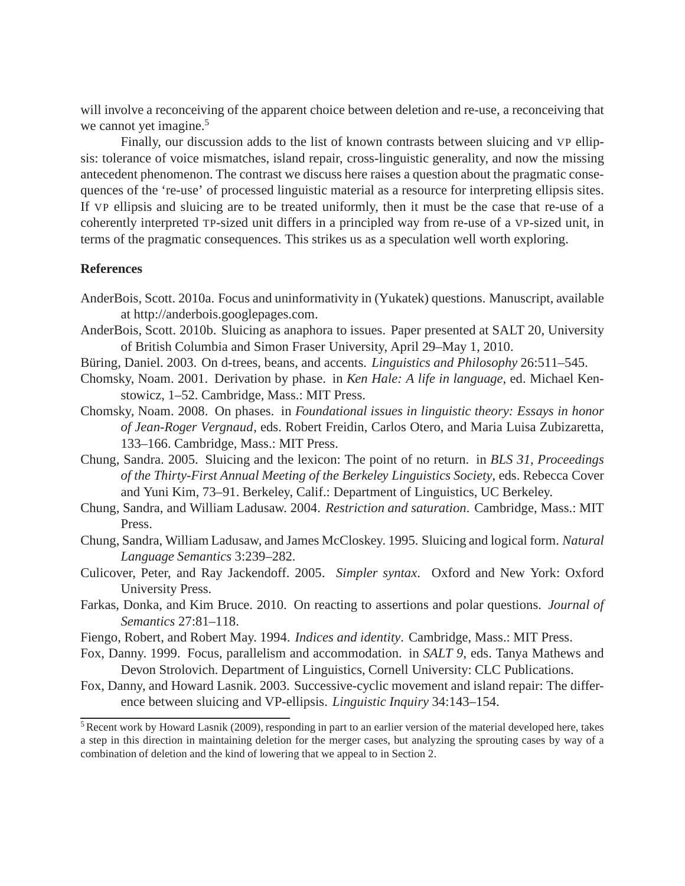will involve a reconceiving of the apparent choice between deletion and re-use, a reconceiving that we cannot yet imagine.<sup>5</sup>

Finally, our discussion adds to the list of known contrasts between sluicing and VP ellipsis: tolerance of voice mismatches, island repair, cross-linguistic generality, and now the missing antecedent phenomenon. The contrast we discuss here raises a question about the pragmatic consequences of the 're-use' of processed linguistic material as a resource for interpreting ellipsis sites. If VP ellipsis and sluicing are to be treated uniformly, then it must be the case that re-use of a coherently interpreted TP-sized unit differs in a principled way from re-use of a VP-sized unit, in terms of the pragmatic consequences. This strikes us as a speculation well worth exploring.

#### **References**

- AnderBois, Scott. 2010a. Focus and uninformativity in (Yukatek) questions. Manuscript, available at http://anderbois.googlepages.com.
- AnderBois, Scott. 2010b. Sluicing as anaphora to issues. Paper presented at SALT 20, University of British Columbia and Simon Fraser University, April 29–May 1, 2010.
- Büring, Daniel. 2003. On d-trees, beans, and accents. *Linguistics and Philosophy* 26:511–545.
- Chomsky, Noam. 2001. Derivation by phase. in *Ken Hale: A life in language*, ed. Michael Kenstowicz, 1–52. Cambridge, Mass.: MIT Press.
- Chomsky, Noam. 2008. On phases. in *Foundational issues in linguistic theory: Essays in honor of Jean-Roger Vergnaud*, eds. Robert Freidin, Carlos Otero, and Maria Luisa Zubizaretta, 133–166. Cambridge, Mass.: MIT Press.
- Chung, Sandra. 2005. Sluicing and the lexicon: The point of no return. in *BLS 31, Proceedings of the Thirty-First Annual Meeting of the Berkeley Linguistics Society*, eds. Rebecca Cover and Yuni Kim, 73–91. Berkeley, Calif.: Department of Linguistics, UC Berkeley.
- Chung, Sandra, and William Ladusaw. 2004. *Restriction and saturation*. Cambridge, Mass.: MIT Press.
- Chung, Sandra, William Ladusaw, and James McCloskey. 1995. Sluicing and logical form. *Natural Language Semantics* 3:239–282.
- Culicover, Peter, and Ray Jackendoff. 2005. *Simpler syntax*. Oxford and New York: Oxford University Press.
- Farkas, Donka, and Kim Bruce. 2010. On reacting to assertions and polar questions. *Journal of Semantics* 27:81–118.
- Fiengo, Robert, and Robert May. 1994. *Indices and identity*. Cambridge, Mass.: MIT Press.
- Fox, Danny. 1999. Focus, parallelism and accommodation. in *SALT 9*, eds. Tanya Mathews and Devon Strolovich. Department of Linguistics, Cornell University: CLC Publications.
- Fox, Danny, and Howard Lasnik. 2003. Successive-cyclic movement and island repair: The difference between sluicing and VP-ellipsis. *Linguistic Inquiry* 34:143–154.

<sup>&</sup>lt;sup>5</sup> Recent work by Howard Lasnik (2009), responding in part to an earlier version of the material developed here, takes a step in this direction in maintaining deletion for the merger cases, but analyzing the sprouting cases by way of a combination of deletion and the kind of lowering that we appeal to in Section 2.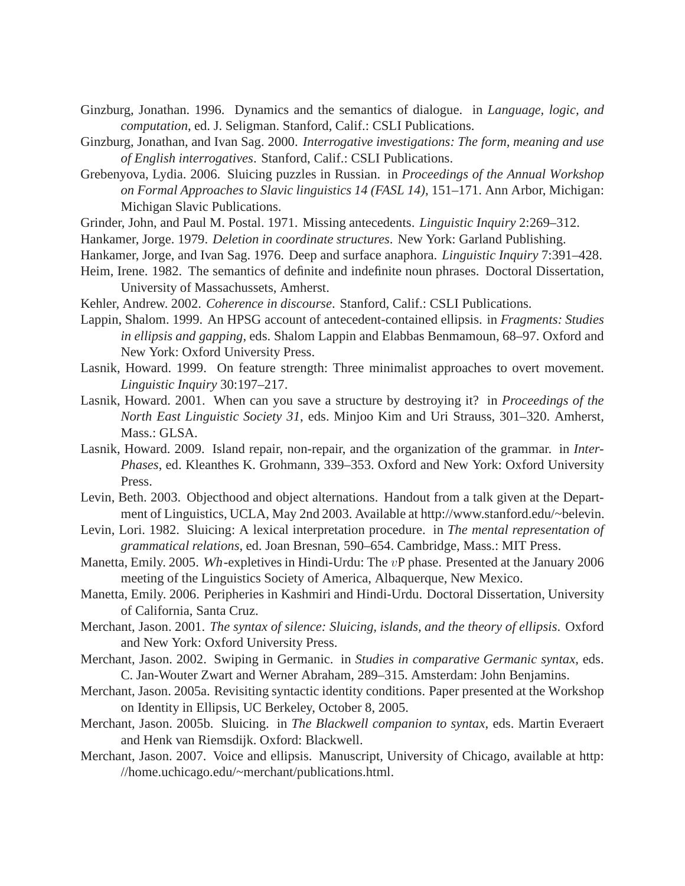- Ginzburg, Jonathan. 1996. Dynamics and the semantics of dialogue. in *Language, logic, and computation*, ed. J. Seligman. Stanford, Calif.: CSLI Publications.
- Ginzburg, Jonathan, and Ivan Sag. 2000. *Interrogative investigations: The form, meaning and use of English interrogatives*. Stanford, Calif.: CSLI Publications.
- Grebenyova, Lydia. 2006. Sluicing puzzles in Russian. in *Proceedings of the Annual Workshop on Formal Approaches to Slavic linguistics 14 (FASL 14)*, 151–171. Ann Arbor, Michigan: Michigan Slavic Publications.
- Grinder, John, and Paul M. Postal. 1971. Missing antecedents. *Linguistic Inquiry* 2:269–312.
- Hankamer, Jorge. 1979. *Deletion in coordinate structures*. New York: Garland Publishing.
- Hankamer, Jorge, and Ivan Sag. 1976. Deep and surface anaphora. *Linguistic Inquiry* 7:391–428.
- Heim, Irene. 1982. The semantics of definite and indefinite noun phrases. Doctoral Dissertation, University of Massachussets, Amherst.
- Kehler, Andrew. 2002. *Coherence in discourse*. Stanford, Calif.: CSLI Publications.
- Lappin, Shalom. 1999. An HPSG account of antecedent-contained ellipsis. in *Fragments: Studies in ellipsis and gapping*, eds. Shalom Lappin and Elabbas Benmamoun, 68–97. Oxford and New York: Oxford University Press.
- Lasnik, Howard. 1999. On feature strength: Three minimalist approaches to overt movement. *Linguistic Inquiry* 30:197–217.
- Lasnik, Howard. 2001. When can you save a structure by destroying it? in *Proceedings of the North East Linguistic Society 31*, eds. Minjoo Kim and Uri Strauss, 301–320. Amherst, Mass.: GLSA.
- Lasnik, Howard. 2009. Island repair, non-repair, and the organization of the grammar. in *Inter-Phases*, ed. Kleanthes K. Grohmann, 339–353. Oxford and New York: Oxford University Press.
- Levin, Beth. 2003. Objecthood and object alternations. Handout from a talk given at the Department of Linguistics, UCLA, May 2nd 2003. Available at http://www.stanford.edu/~belevin.
- Levin, Lori. 1982. Sluicing: A lexical interpretation procedure. in *The mental representation of grammatical relations*, ed. Joan Bresnan, 590–654. Cambridge, Mass.: MIT Press.
- Manetta, Emily. 2005. Wh-expletives in Hindi-Urdu: The vP phase. Presented at the January 2006 meeting of the Linguistics Society of America, Albaquerque, New Mexico.
- Manetta, Emily. 2006. Peripheries in Kashmiri and Hindi-Urdu. Doctoral Dissertation, University of California, Santa Cruz.
- Merchant, Jason. 2001. *The syntax of silence: Sluicing, islands, and the theory of ellipsis*. Oxford and New York: Oxford University Press.
- Merchant, Jason. 2002. Swiping in Germanic. in *Studies in comparative Germanic syntax*, eds. C. Jan-Wouter Zwart and Werner Abraham, 289–315. Amsterdam: John Benjamins.
- Merchant, Jason. 2005a. Revisiting syntactic identity conditions. Paper presented at the Workshop on Identity in Ellipsis, UC Berkeley, October 8, 2005.
- Merchant, Jason. 2005b. Sluicing. in *The Blackwell companion to syntax*, eds. Martin Everaert and Henk van Riemsdijk. Oxford: Blackwell.
- Merchant, Jason. 2007. Voice and ellipsis. Manuscript, University of Chicago, available at http: //home.uchicago.edu/~merchant/publications.html.